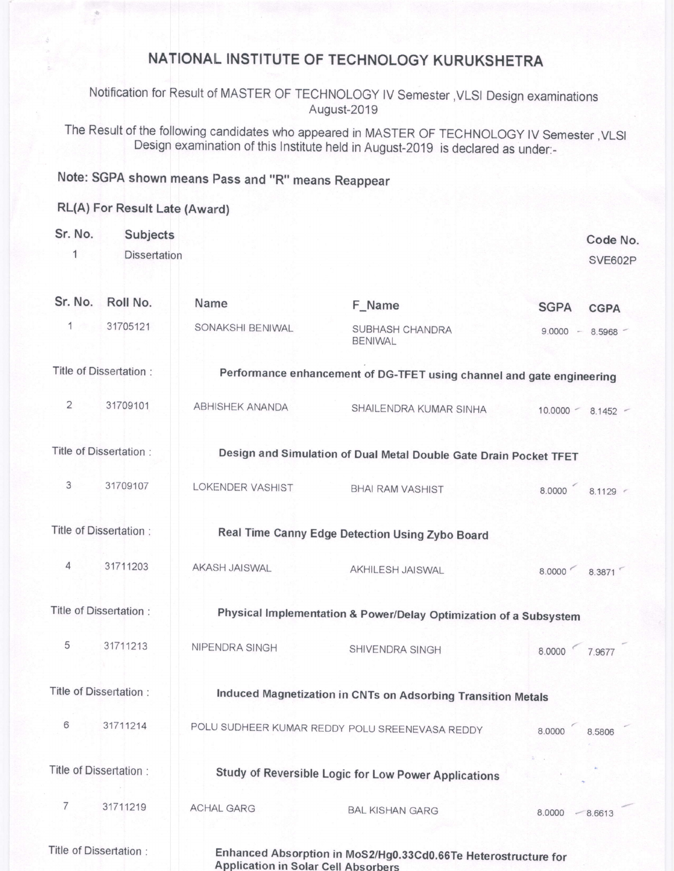## NATIONAL INSTITUTE OF TECHNOLOGY KURUKSHETRA

Notification for Result of MASTER OF TECHNOLOGY lV Semester ,VLSI Design examinations August-2019

The Result of the following candidates who appeared in MASTER OF TECHNOLOGY IV Semester, VLSI Design examination of this Institute held in August-2019 is declared as under:-

## Note: SGPA shown means pass and "R" means Reappear

## RL(A) For Result Late (Award)

| Sr. No.<br>1   | Subjects<br><b>Dissertation</b> |                                                |                                                                       |               | Code No.<br>SVE602P  |
|----------------|---------------------------------|------------------------------------------------|-----------------------------------------------------------------------|---------------|----------------------|
|                |                                 |                                                |                                                                       |               |                      |
| Sr. No.        | Roll No.                        | Name                                           | F_Name                                                                | <b>SGPA</b>   | <b>CGPA</b>          |
| 1              | 31705121                        | SONAKSHI BENIWAL                               | SUBHASH CHANDRA<br><b>BENIWAL</b>                                     |               | $9.0000 - 8.5968$    |
|                | Title of Dissertation:          |                                                | Performance enhancement of DG-TFET using channel and gate engineering |               |                      |
| $\overline{2}$ | 31709101                        | <b>ABHISHEK ANANDA</b>                         | SHAILENDRA KUMAR SINHA                                                |               | $10.0000 - 8.1452 -$ |
|                | Title of Dissertation:          |                                                | Design and Simulation of Dual Metal Double Gate Drain Pocket TFET     |               |                      |
| $\mathfrak{Z}$ | 31709107                        | LOKENDER VASHIST                               | <b>BHAI RAM VASHIST</b>                                               | 8.0000        | 8.1129               |
|                | Title of Dissertation :         |                                                | Real Time Canny Edge Detection Using Zybo Board                       |               |                      |
| $\overline{4}$ | 31711203                        | AKASH JAISWAL                                  | AKHILESH JAISWAL                                                      | 8.0000        | 8.3871               |
|                | Title of Dissertation:          |                                                | Physical Implementation & Power/Delay Optimization of a Subsystem     |               |                      |
| 5              | 31711213                        | NIPENDRA SINGH                                 | SHIVENDRA SINGH                                                       | 8.0000 7.9677 |                      |
|                | Title of Dissertation:          |                                                | Induced Magnetization in CNTs on Adsorbing Transition Metals          |               |                      |
| 6              | 31711214                        | POLU SUDHEER KUMAR REDDY POLU SREENEVASA REDDY |                                                                       | 8.0000        | 8.5806               |
|                | Title of Dissertation:          |                                                | Study of Reversible Logic for Low Power Applications                  |               |                      |
| $\overline{7}$ | 31711219                        | <b>ACHAL GARG</b>                              | <b>BAL KISHAN GARG</b>                                                | 8.0000        | $-8.6613$            |
|                | Title of Dissertation :         | <b>Application in Solar Cell Absorbers</b>     | Enhanced Absorption in MoS2/Hg0.33Cd0.66Te Heterostructure for        |               |                      |